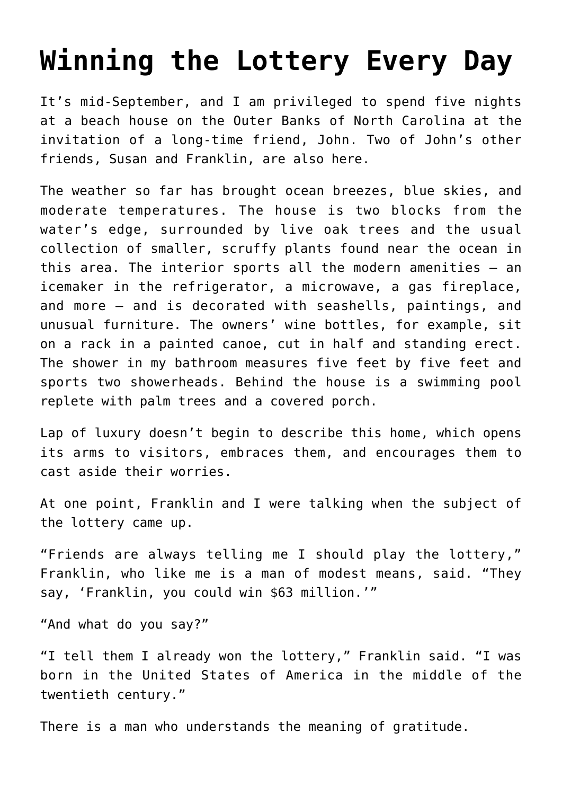## **[Winning the Lottery Every Day](https://intellectualtakeout.org/2019/09/winning-the-lottery-every-day/)**

It's mid-September, and I am privileged to spend five nights at a beach house on the Outer Banks of North Carolina at the invitation of a long-time friend, John. Two of John's other friends, Susan and Franklin, are also here.

The weather so far has brought ocean breezes, blue skies, and moderate temperatures. The house is two blocks from the water's edge, surrounded by live oak trees and the usual collection of smaller, scruffy plants found near the ocean in this area. The interior sports all the modern amenities – an icemaker in the refrigerator, a microwave, a gas fireplace, and more – and is decorated with seashells, paintings, and unusual furniture. The owners' wine bottles, for example, sit on a rack in a painted canoe, cut in half and standing erect. The shower in my bathroom measures five feet by five feet and sports two showerheads. Behind the house is a swimming pool replete with palm trees and a covered porch.

Lap of luxury doesn't begin to describe this home, which opens its arms to visitors, embraces them, and encourages them to cast aside their worries.

At one point, Franklin and I were talking when the subject of the lottery came up.

"Friends are always telling me I should play the lottery," Franklin, who like me is a man of modest means, said. "They say, 'Franklin, you could win \$63 million.'"

"And what do you say?"

"I tell them I already won the lottery," Franklin said. "I was born in the United States of America in the middle of the twentieth century."

There is a man who understands the meaning of gratitude.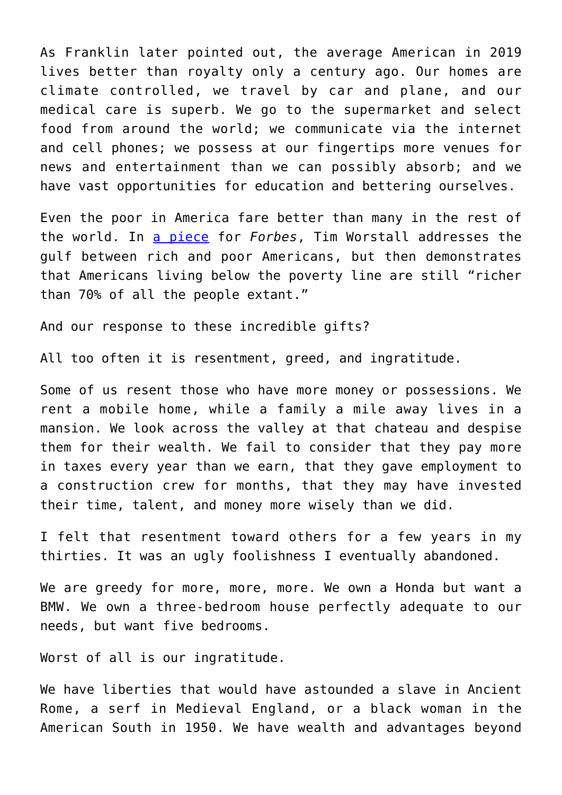As Franklin later pointed out, the average American in 2019 lives better than royalty only a century ago. Our homes are climate controlled, we travel by car and plane, and our medical care is superb. We go to the supermarket and select food from around the world; we communicate via the internet and cell phones; we possess at our fingertips more venues for news and entertainment than we can possibly absorb; and we have vast opportunities for education and bettering ourselves.

Even the poor in America fare better than many in the rest of the world. In [a piece](https://www.forbes.com/sites/timworstall/2013/06/01/astonishing-numbers-americas-poor-still-live-better-than-most-of-the-rest-of-humanity/#317c246e54ef) for *Forbes*, Tim Worstall addresses the gulf between rich and poor Americans, but then demonstrates that Americans living below the poverty line are still "richer than 70% of all the people extant."

And our response to these incredible gifts?

All too often it is resentment, greed, and ingratitude.

Some of us resent those who have more money or possessions. We rent a mobile home, while a family a mile away lives in a mansion. We look across the valley at that chateau and despise them for their wealth. We fail to consider that they pay more in taxes every year than we earn, that they gave employment to a construction crew for months, that they may have invested their time, talent, and money more wisely than we did.

I felt that resentment toward others for a few years in my thirties. It was an ugly foolishness I eventually abandoned.

We are greedy for more, more, more. We own a Honda but want a BMW. We own a three-bedroom house perfectly adequate to our needs, but want five bedrooms.

Worst of all is our ingratitude.

We have liberties that would have astounded a slave in Ancient Rome, a serf in Medieval England, or a black woman in the American South in 1950. We have wealth and advantages beyond